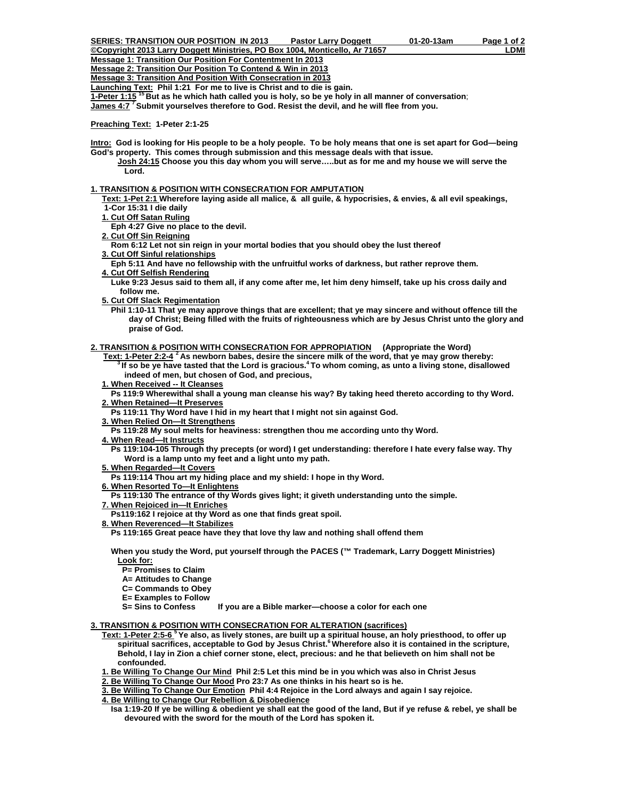**©Copyright 2013 Larry Doggett Ministries, PO Box 1004, Monticello, Ar 71657 LDMI Message 1: Transition Our Position For Contentment In 2013**

**Message 2: Transition Our Position To Contend & Win in 2013**

**Message 3: Transition And Position With Consecration in 2013**

**Launching Text: Phil 1:21 For me to live is Christ and to die is gain.** 

**1-Peter 1:15 15 But as he which hath called you is holy, so be ye holy in all manner of conversation**;

**James 4:7 7 Submit yourselves therefore to God. Resist the devil, and he will flee from you.** 

**Preaching Text: 1-Peter 2:1-25** 

**Intro: God is looking for His people to be a holy people. To be holy means that one is set apart for God—being God's property. This comes through submission and this message deals with that issue.** 

 **Josh 24:15 Choose you this day whom you will serve…..but as for me and my house we will serve the Lord.** 

# **1. TRANSITION & POSITION WITH CONSECRATION FOR AMPUTATION**

 **Text: 1-Pet 2:1 Wherefore laying aside all malice, & all guile, & hypocrisies, & envies, & all evil speakings, 1-Cor 15:31 I die daily** 

- **1. Cut Off Satan Ruling**
- **Eph 4:27 Give no place to the devil.**
- **2. Cut Off Sin Reigning**

 **Rom 6:12 Let not sin reign in your mortal bodies that you should obey the lust thereof 3. Cut Off Sinful relationships**

 **Eph 5:11 And have no fellowship with the unfruitful works of darkness, but rather reprove them. 4. Cut Off Selfish Rendering**

 **Luke 9:23 Jesus said to them all, if any come after me, let him deny himself, take up his cross daily and follow me.** 

 **5. Cut Off Slack Regimentation**

 **Phil 1:10-11 That ye may approve things that are excellent; that ye may sincere and without offence till the day of Christ; Being filled with the fruits of righteousness which are by Jesus Christ unto the glory and praise of God.** 

**2. TRANSITION & POSITION WITH CONSECRATION FOR APPROPIATION (Appropriate the Word)** 

 **Text: 1-Peter 2:2-4 2 As newborn babes, desire the sincere milk of the word, that ye may grow thereby: 3 If so be ye have tasted that the Lord is gracious.4 To whom coming, as unto a living stone, disallowed indeed of men, but chosen of God, and precious,** 

 **1. When Received -- It Cleanses**

 **Ps 119:9 Wherewithal shall a young man cleanse his way? By taking heed thereto according to thy Word. 2. When Retained—It Preserves**

 **Ps 119:11 Thy Word have I hid in my heart that I might not sin against God.** 

 **3. When Relied On—It Strengthens**

 **Ps 119:28 My soul melts for heaviness: strengthen thou me according unto thy Word.** 

- **4. When Read—It Instructs**
	- **Ps 119:104-105 Through thy precepts (or word) I get understanding: therefore I hate every false way. Thy Word is a lamp unto my feet and a light unto my path.**
- **5. When Regarded—It Covers**
- **Ps 119:114 Thou art my hiding place and my shield: I hope in thy Word.**
- **6. When Resorted To—It Enlightens**
- **Ps 119:130 The entrance of thy Words gives light; it giveth understanding unto the simple.**
- **7. When Rejoiced in—It Enriches**
- **Ps119:162 I rejoice at thy Word as one that finds great spoil.**
- **8. When Reverenced—It Stabilizes**

 **Ps 119:165 Great peace have they that love thy law and nothing shall offend them** 

 **When you study the Word, put yourself through the PACES (™ Trademark, Larry Doggett Ministries) Look for:**

- **P= Promises to Claim**
- **A= Attitudes to Change**
- **C= Commands to Obey**
- **E= Examples to Follow**

 **S= Sins to Confess If you are a Bible marker—choose a color for each one** 

#### **3. TRANSITION & POSITION WITH CONSECRATION FOR ALTERATION (sacrifices)**

- **Text: 1-Peter 2:5-6 5 Ye also, as lively stones, are built up a spiritual house, an holy priesthood, to offer up spiritual sacrifices, acceptable to God by Jesus Christ.<sup>6</sup> Wherefore also it is contained in the scripture, Behold, I lay in Zion a chief corner stone, elect, precious: and he that believeth on him shall not be confounded.** 
	- **1. Be Willing To Change Our Mind Phil 2:5 Let this mind be in you which was also in Christ Jesus**
	- **2. Be Willing To Change Our Mood Pro 23:7 As one thinks in his heart so is he.**

 **3. Be Willing To Change Our Emotion Phil 4:4 Rejoice in the Lord always and again I say rejoice.** 

- **4. Be Willing to Change Our Rebellion & Disobedience**
- **Isa 1:19-20 If ye be willing & obedient ye shall eat the good of the land, But if ye refuse & rebel, ye shall be devoured with the sword for the mouth of the Lord has spoken it.**